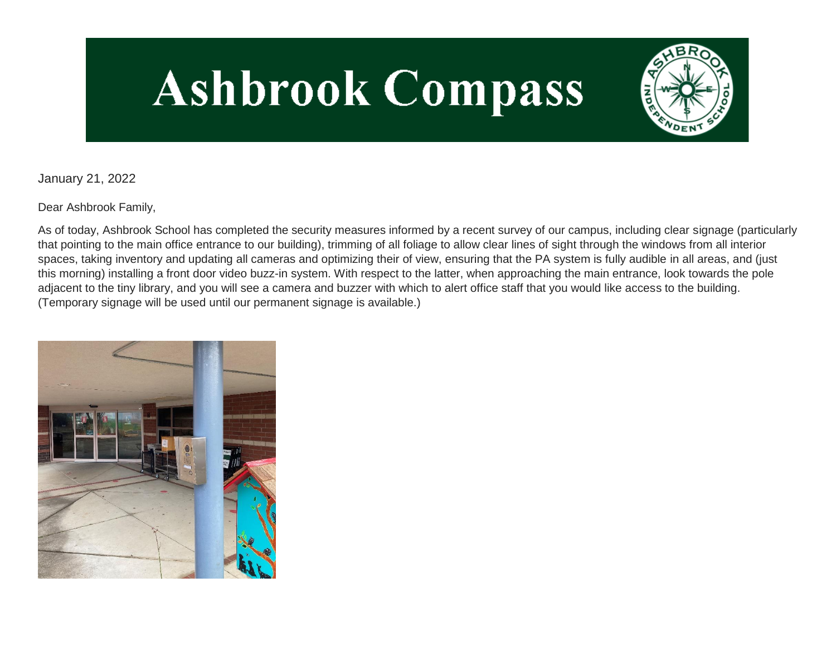# **Ashbrook Compass**



January 21, 2022

Dear Ashbrook Family,

As of today, Ashbrook School has completed the security measures informed by a recent survey of our campus, including clear signage (particularly that pointing to the main office entrance to our building), trimming of all foliage to allow clear lines of sight through the windows from all interior spaces, taking inventory and updating all cameras and optimizing their of view, ensuring that the PA system is fully audible in all areas, and (just this morning) installing a front door video buzz-in system. With respect to the latter, when approaching the main entrance, look towards the pole adjacent to the tiny library, and you will see a camera and buzzer with which to alert office staff that you would like access to the building. (Temporary signage will be used until our permanent signage is available.)

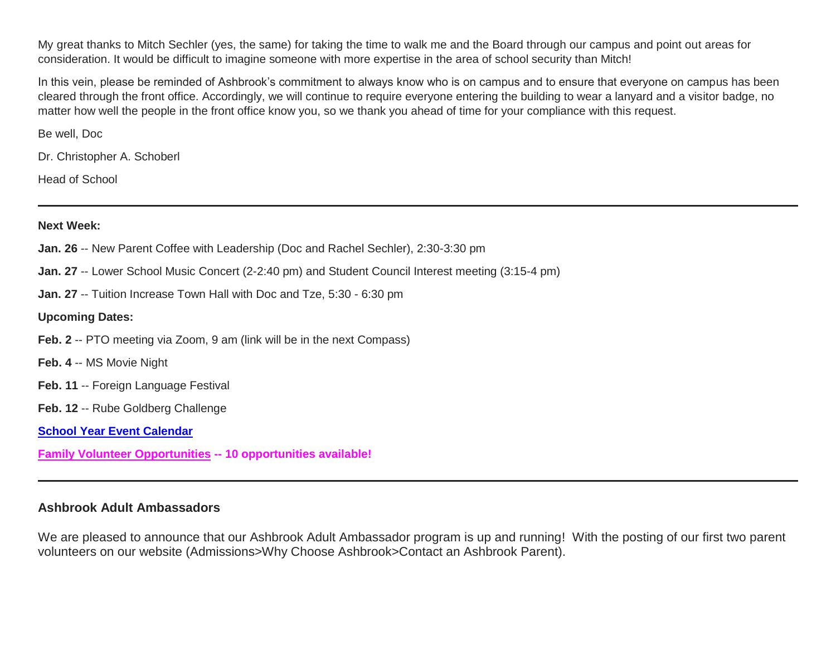My great thanks to Mitch Sechler (yes, the same) for taking the time to walk me and the Board through our campus and point out areas for consideration. It would be difficult to imagine someone with more expertise in the area of school security than Mitch!

In this vein, please be reminded of Ashbrook's commitment to always know who is on campus and to ensure that everyone on campus has been cleared through the front office. Accordingly, we will continue to require everyone entering the building to wear a lanyard and a visitor badge, no matter how well the people in the front office know you, so we thank you ahead of time for your compliance with this request.

Be well, Doc

Dr. Christopher A. Schoberl

Head of School

#### **Next Week:**

- **Jan. 26** -- New Parent Coffee with Leadership (Doc and Rachel Sechler), 2:30-3:30 pm
- **Jan. 27** -- Lower School Music Concert (2-2:40 pm) and Student Council Interest meeting (3:15-4 pm)
- **Jan. 27** -- Tuition Increase Town Hall with Doc and Tze, 5:30 6:30 pm

# **Upcoming Dates:**

- **Feb. 2** -- PTO meeting via Zoom, 9 am (link will be in the next Compass)
- **Feb. 4** -- MS Movie Night
- **Feb. 11** -- Foreign Language Festival
- **Feb. 12** -- Rube Goldberg Challenge
- **[School Year Event Calendar](http://link.mystudentsprogress.com/ls/click?upn=n7jYKe39nC4PrVAw2BzaOolgU5XUleaJ61qfvNJxTW3uoi8RFzNYUfSc1qXdqajA34djZWrxIBJBxzp2whbybvqIYp3dDOkCDgKesziBdCm1u7J5UB6bwQicng-2BhFj8jm5vDG0tBEB0sO-2FO3RXilW8Csk5oOSfGUUXvh5WSdqhvDojIY5znyF-2BOYIJP1WK6BX9Sd_1PndbFfBoQGSZbxwXHHEexw3B2F0fG-2BUmuXm6a-2BX-2BztZVCx7P4tieJ8u58m9qWBkZ8wMu0azTlJGjkIr0r2Ijc32hGPBfoevSQvxOIYsZBvZD45IyHoxZfe-2FidQDJmJemKOO5SaYAjA7GXLqDDLPYXMZCDy-2FDkxK8CvTjaipJLWb1FYep0i5nCRPeZ0bsAU8yxPIMAqzv9G8mc2yWCrCpydcRfa49Plk8Cn80NUhXhQuE8LW-2Fan1NOjKR8JL5v-2FOdfsFjDnEAp3LXpBFBJL5v3RwgkpM9fRMpWbnG2EtS5RYvPOMsHvdM6n2zQ2vodljHjMptI5KV5DsrWHL7j7vBzMYSl3wv-2B6eCG-2BwfyYbjaZCeWi79AILMhBf-2FMA6oGsHWoesBrS7X8KYqzqOsJXb6EoR0KbJn70o-2Fv3-2FrcQWoBbRUtIZq621lx51Fjr4rPm5)**
- **[Family Volunteer Opportunities](http://link.mystudentsprogress.com/ls/click?upn=VpBe6Z9t6RkEC4qAoQCerkRqVNRJCi4SE2bZPjoSvlxSlLFpfnUYhuutAutUGnBh84nj-2BJvhJlx1K1dJMDDqBY1qLZ1O0nCcHebienBZj-2BKxsXBin-2FugM50Q-2FqN8cLG3Urd1ZQzGcMWtkFleXRzacA-3D-3Dy3Hj_1PndbFfBoQGSZbxwXHHEexw3B2F0fG-2BUmuXm6a-2BX-2BztZVCx7P4tieJ8u58m9qWBkZ8wMu0azTlJGjkIr0r2IjT65Te4S-2FY4PA87hQXyou45-2BTfRLNfdAEwB1bf-2FrxK4IVIGiRlr1eJOTmAJ0R-2FPTv6WMmHdd9wXv9zEVFPxJ2wzNwXAV6zSVnsce5YQJFOE8IJ2wPJgIfn3YZB2VJTkJjpNq0hVuUbkTedAQEQBvhD-2FIEeMmGTqt5A5GxBrNOupJK6kW1p3T9IW4Ns0ZTmCtnR3j6WPuQqRkYHVkq37-2B-2FjhHjhW2PyRtMzOT5RtL6GTtBJq-2BNtrNLoA0XJjtlTbECK9x9jC7Qmipv6sg7JPqc0H1oWYJ0qVsRF7oF95GMPNyJWHZ-2Fx-2FKyyeqeS8lDM3TxoRFHoY-2Fog71vOgcxoc-2BNdGkBJuZs3S69hTzBC4Lgy87) -- 10 opportunities available!**

# **Ashbrook Adult Ambassadors**

We are pleased to announce that our Ashbrook Adult Ambassador program is up and running! With the posting of our first two parent volunteers on our website (Admissions>Why Choose Ashbrook>Contact an Ashbrook Parent).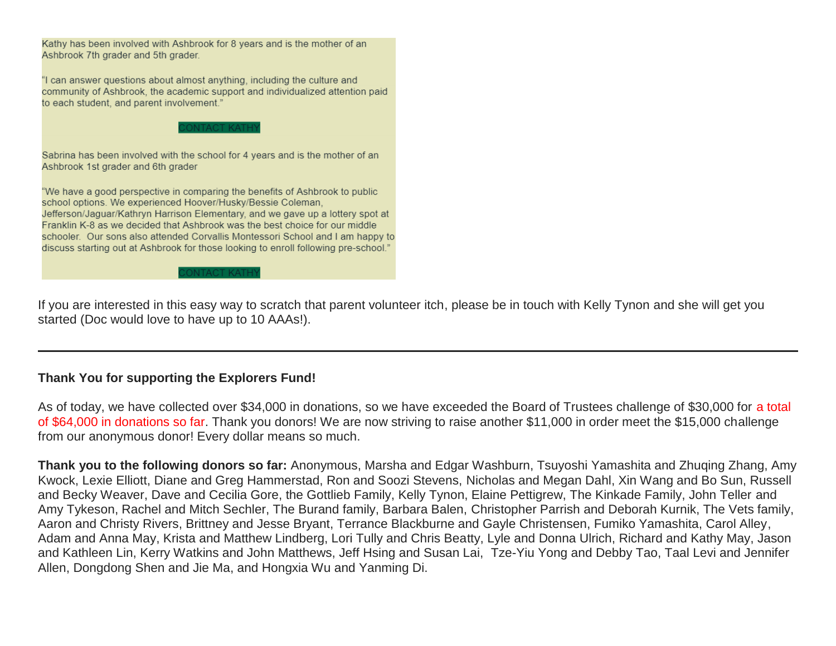

If you are interested in this easy way to scratch that parent volunteer itch, please be in touch with Kelly Tynon and she will get you started (Doc would love to have up to 10 AAAs!).

# **Thank You for supporting the Explorers Fund!**

As of today, we have collected over \$34,000 in donations, so we have exceeded the Board of Trustees challenge of \$30,000 for a total of \$64,000 in donations so far. Thank you donors! We are now striving to raise another \$11,000 in order meet the \$15,000 challenge from our anonymous donor! Every dollar means so much.

**Thank you to the following donors so far:** Anonymous, Marsha and Edgar Washburn, Tsuyoshi Yamashita and Zhuqing Zhang, Amy Kwock, Lexie Elliott, Diane and Greg Hammerstad, Ron and Soozi Stevens, Nicholas and Megan Dahl, Xin Wang and Bo Sun, Russell and Becky Weaver, Dave and Cecilia Gore, the Gottlieb Family, Kelly Tynon, Elaine Pettigrew, The Kinkade Family, John Teller and Amy Tykeson, Rachel and Mitch Sechler, The Burand family, Barbara Balen, Christopher Parrish and Deborah Kurnik, The Vets family, Aaron and Christy Rivers, Brittney and Jesse Bryant, Terrance Blackburne and Gayle Christensen, Fumiko Yamashita, Carol Alley, Adam and Anna May, Krista and Matthew Lindberg, Lori Tully and Chris Beatty, Lyle and Donna Ulrich, Richard and Kathy May, Jason and Kathleen Lin, Kerry Watkins and John Matthews, Jeff Hsing and Susan Lai, Tze-Yiu Yong and Debby Tao, Taal Levi and Jennifer Allen, Dongdong Shen and Jie Ma, and Hongxia Wu and Yanming Di.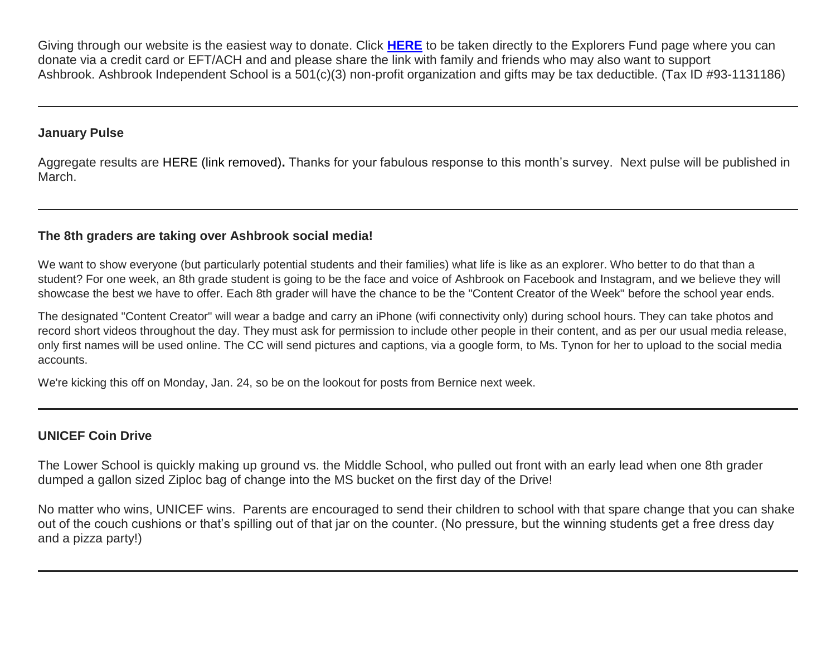Giving through our website is the easiest way to donate. Click **[HERE](http://link.mystudentsprogress.com/ls/click?upn=5XDbAd9r0ovG7GZusFBG8PaUF78UqItDelTGdwk7Y5YuTzHCPAjU3puEFCesf3czmLI6pjYvXrYopLnNSPnw-2Fg-3D-3D1L_h_1PndbFfBoQGSZbxwXHHEexw3B2F0fG-2BUmuXm6a-2BX-2BztZVCx7P4tieJ8u58m9qWBkZ8wMu0azTlJGjkIr0r2IjWOkOxiVIepXR85WqHZ6Z1jWz6VMJ4eEgpEhnLh44XTH0i-2FY9-2B-2Fpq6y5uoUG0tbKZZc5DsDyHqKESS3VBiRpg8KP6C-2FLSsHFF4c83v0gSnFrQ-2F442qsNxwzK6VK1TaGDvHTXeSxtFf1Dv-2BgfpZ9BM-2BEP39934oBAbF-2FSXzztF0mLiHsNI16qF5WBgcUTXsQh66XW54uFL53seNt6MO39lLhHR6lL4O5Lk-2BXhcERJv0rjRsVK5mBJbJwOC6UX71YstV-2FY5LJgHkGl-2F-2BRNA9j46dkMVXg-2FIi-2FMusKKameVMYgtSJZuVQeIbMhDZ0g0-2BpdmVZYlMqBd-2FNtiPSoHbxDA3LPti5gq8xgkPnwz7PBbsABB)** to be taken directly to the Explorers Fund page where you can donate via a credit card or EFT/ACH and and please share the link with family and friends who may also want to support Ashbrook. Ashbrook Independent School is a 501(c)(3) non-profit organization and gifts may be tax deductible. (Tax ID #93-1131186)

#### **January Pulse**

Aggregate results are HERE (link removed)**.** Thanks for your fabulous response to this month's survey. Next pulse will be published in March.

# **The 8th graders are taking over Ashbrook social media!**

We want to show everyone (but particularly potential students and their families) what life is like as an explorer. Who better to do that than a student? For one week, an 8th grade student is going to be the face and voice of Ashbrook on Facebook and Instagram, and we believe they will showcase the best we have to offer. Each 8th grader will have the chance to be the "Content Creator of the Week" before the school year ends.

The designated "Content Creator" will wear a badge and carry an iPhone (wifi connectivity only) during school hours. They can take photos and record short videos throughout the day. They must ask for permission to include other people in their content, and as per our usual media release, only first names will be used online. The CC will send pictures and captions, via a google form, to Ms. Tynon for her to upload to the social media accounts.

We're kicking this off on Monday, Jan. 24, so be on the lookout for posts from Bernice next week.

# **UNICEF Coin Drive**

The Lower School is quickly making up ground vs. the Middle School, who pulled out front with an early lead when one 8th grader dumped a gallon sized Ziploc bag of change into the MS bucket on the first day of the Drive!

No matter who wins, UNICEF wins. Parents are encouraged to send their children to school with that spare change that you can shake out of the couch cushions or that's spilling out of that jar on the counter. (No pressure, but the winning students get a free dress day and a pizza party!)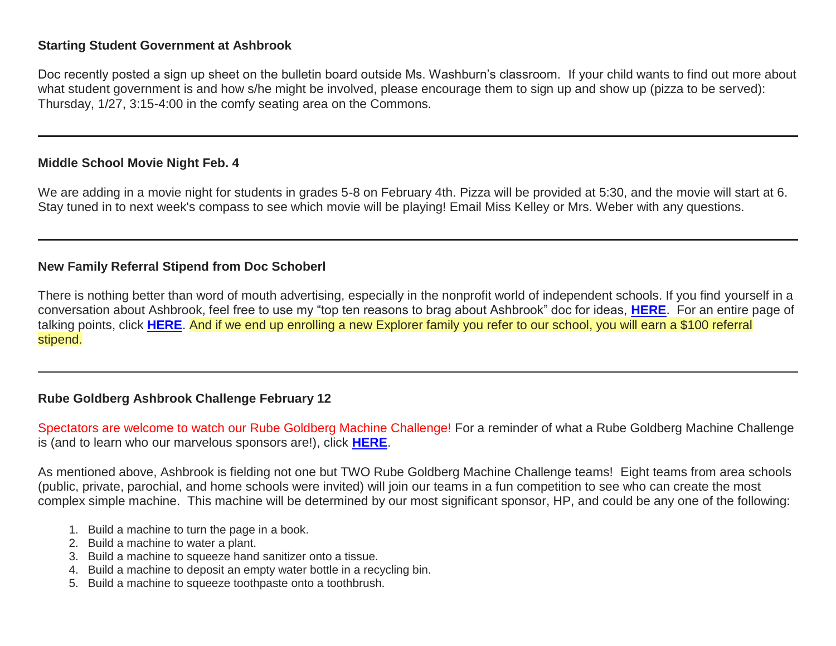#### **Starting Student Government at Ashbrook**

Doc recently posted a sign up sheet on the bulletin board outside Ms. Washburn's classroom. If your child wants to find out more about what student government is and how s/he might be involved, please encourage them to sign up and show up (pizza to be served): Thursday, 1/27, 3:15-4:00 in the comfy seating area on the Commons.

#### **Middle School Movie Night Feb. 4**

We are adding in a movie night for students in grades 5-8 on February 4th. Pizza will be provided at 5:30, and the movie will start at 6. Stay tuned in to next week's compass to see which movie will be playing! Email Miss Kelley or Mrs. Weber with any questions.

#### **New Family Referral Stipend from Doc Schoberl**

There is nothing better than word of mouth advertising, especially in the nonprofit world of independent schools. If you find yourself in a conversation about Ashbrook, feel free to use my "top ten reasons to brag about Ashbrook" doc for ideas, **[HERE](http://link.mystudentsprogress.com/ls/click?upn=TUHIw15RkZKA-2BkrQie-2FntaQiAIzyVKoAcjBRQlnVZKd-2BHIYHyC6WBSgp4Ve86SHv8a7wE6eUxxK5iqBVRh3xGAZsNJTwm2VPDqtGZZwdktam7cJ4QSza3hclvtXaHhvB2XxX-2FHpI3M-2BvsHAM-2F-2FSbZ5pEgJQymg3fb4dIGerQ3KVLsicwlA5Ke1wzwxIx2IaX47Hj8VBADqQn1EmRZbwMRH9hmFOFM-2FYUo5ZYG0JScfJr42pOsv6xTmjABo67Nx6wblN6O1EOcfokQZMSaNY8349jykj6C6ksXL-2BmT12VlCXPNp27-2F0LbOiHtJtIaUuOD4GdX6NtyvIuD3mjnJCwXjqKx0KZVCSI4-2BzHk6VYHyJCkL-2FdcI3mBjI-2FQNyBXXb76s5l5SKDn0mq5z5HfdCtLtMZJStTjPIOVrSkgmJDxiz2Li2sVr-2FbAzPRM8IcEvMZhUIyywpbWNuc1JUtUzbIprUaVBGzYeM0Y0Qhu7DK6xd4swu6Xd-2Btr80eZTo-2B3rl02b-2Bip-2BfFimo7u-2BP6VNTGzH8dqjGx9M7c4SYyEuSY7bsBosRTlKT2Av1qAcZWkBe0QYHGrpdJn-2BVn89B2qCwGqsCWq-2B44Xgx25g0idLgRP6o25tzUFAuZLvEM69H6lKE371qgke1Qp81-2BVmMAwKMHHNV-2Fp-2FWsJgZWPuQfkOCnbyJWbin9E7HCfGl-2Bbgqc1oz3U2gdGytbX8GI71zwiCebWUnLSgEZDaHZtFfsXsMBKwSNW0QYsrOEkd4BrnUJT-2Fv-2BfE4FGUN8pG7rRv1iMIBM7QE0MdSHB4XP4OxHlq856huBZsuBLKeyxiwWJ14jmTDd9QpyHm-2FJNWhhfZk2aLedHOyH8uHz-2FxKXlogdvID7axmJCUU5TxXq9-2B5cePE5JlVVWhHm-2F-2B-2BtESuhwASeLCZggFnKOvZWrkGsGC0m8rRWpJqs-3DTX4Q_1PndbFfBoQGSZbxwXHHEexw3B2F0fG-2BUmuXm6a-2BX-2BztZVCx7P4tieJ8u58m9qWBkZ8wMu0azTlJGjkIr0r2IjfTiUNi3YKXXGikW76glV1I4vVmuCfnqqyP-2FN5d5gMhBXOQZRRlWKCTuJYsw5Op7B85CDgCZDdO-2B2H4EckH2QCXQak-2Bihcb6e2IQhzM0JuEWpS6XmLwPnZ6otzCyjPzgae4QSu7axx2RR3wK6SjOyLk4gCh0GBEdRXHo-2FBDU9yn-2BgykHVN5afHBd30rlvIvnMjorvB0-2FmLV4amrvuHjepY1Oa6mf0d3AGUK6HJxutUGJiJL5gI2jEdEM5VRVUAOxCkvXayKrzOO37JdOrW043JVnHS-2FCF6iyvlzA1QejRrY326q1pgi3E3fWAfmFM59odScopwIsuxbF0JdDQ6arVJGTBjCvGPnkERsIcFEUPfzU)**. For an entire page of talking points, click **[HERE](http://link.mystudentsprogress.com/ls/click?upn=TUHIw15RkZKA-2BkrQie-2FntaQiAIzyVKoAcjBRQlnVZKd-2BHIYHyC6WBSgp4Ve86SHvjAP5Pp39wnVwPD89AwlNELYgYQV0LTFwk5Vx6CxwBSYJTU9-2BI2xgoJPo0PXZ-2Brvcnt2wXscEO0OZ8rcdqKJGtEKbNH0mxRY3PsI8q-2FePFg-2FM25883qUgX4LL0F2v3Nv05L5S8LohhXB47aITaWjjnfxkH4Pd4Bw-2BCOJnaT-2F-2FywtoWmvcwteFdFhh0UQKIeV-2FONKWbxhlM5R0J-2BSZxuLsHxqHonJ6wqKIpuoEAf7PPfbAwtdT31LSKJanLu3F0qhDNYxQJgsJMISJmy6vajZzfEYuGdzeNCqsLRUELYi0RYY9anuM4s9k2TklDzVOZMDe72fece4h-2FFZhkdlinaYEf5ceHbWqNCVAwTtKcWHQFPdbuzcbqPfnj5nvYQemRnB14GjP4pP2Jcgo80LDMbaZGGGNLAhhddN-2FXVyqNvUrwb8BufnQbgbIJ5P1w6VDd8E3w5Ms0vlWpS9lRT-2BBkgUtyvRnixhWb8OGv9aI-2F3TFhinVY3Qfc9Rte70qA6P9s9cx3jyOD0oTaYEpWY2JHNvgEAccRlex-2BjtpTqn5DkCJ1oWbNSsXP-2BVB8Xirxz6q05p1zVajKAtFDsMoOYKOrWaOgizaMPJjaIVI2UXD5cDxfBezNw06wPGlHKfxXw7A-2FTWw7EWbmSixAWhNpuCZ8A1qaik-2FNMvEWOKyLdAAwo53bBtKewJUxe3LSg73uz28Hle00BCrwNtKooTuJmAyBWYAWmn5r5UopDxu6y5Y1oXicntF8vFpDbpDaFWXoCR9CAUFr-2BaXZWoaDY3nPS4BUesTGFsk-2By1Hjv2oA09W4dcoV8aOoHCmN1OXsRYeyFKMKR9XRb1Dc-2B2slrDcdrJetqGJog-3D-3Df_yg_1PndbFfBoQGSZbxwXHHEexw3B2F0fG-2BUmuXm6a-2BX-2BztZVCx7P4tieJ8u58m9qWBkZ8wMu0azTlJGjkIr0r2IjWc2CWxrjeVyPZ5fHf5LshIUYh4g8PxqYqZCuDOteOkgzOTqqIDiu2b9cYYQd1CuuHNvUVHL3RFafLdiBqx4n6uME-2FQvabXwfVdh-2BFd4CbeqTB6H3rgWYzCIFIbWRDFeQpDSy4BerQ-2FIQIYZ5GSwRKfiPG90VQSmCACLGVg3Qx7AnvELLEcZbYbSd8vvxHzkL1YAEZCCxO8X1SwMqEyggff-2B3rnwLOplrS-2FvUetQ-2FbSKujmzYs-2F8IOl0g3-2FCbnNW-2Bnm3DrXw4clHQ7aVCfy1V4BuKK9LrUj6IPTXAneNrMWqmyx-2FGFteswsW0DhLN09BzJJl01ON4gNqGfPfrjdPCEb-2Fe-2BwpIAmjBz22o1VCObrX)**. And if we end up enrolling a new Explorer family you refer to our school, you will earn a \$100 referral stipend.

# **Rube Goldberg Ashbrook Challenge February 12**

Spectators are welcome to watch our Rube Goldberg Machine Challenge! For a reminder of what a Rube Goldberg Machine Challenge is (and to learn who our marvelous sponsors are!), click **[HERE](http://link.mystudentsprogress.com/ls/click?upn=VpBe6Z9t6RkEC4qAoQCerkRqVNRJCi4SE2bZPjoSvly4Fl1rEVk6iTXLXAh3m1uO6ZREGgy0jRpPy3z9B6qC7k13dGK-2BzvNKk1fYfPQ2imllJl8VwFJT0rh-2BQ5poTuj6XINg_1PndbFfBoQGSZbxwXHHEexw3B2F0fG-2BUmuXm6a-2BX-2BztZVCx7P4tieJ8u58m9qWBkZ8wMu0azTlJGjkIr0r2IjW2zDRBMBEX-2F0FU4gaQ3YPokx5SDBMF9l2-2FNqJca3WFaYHm53T1ay8GNf6YQoR3wOGjZAD5lZDdh6EGHT9szXYbDo6LucAhJEcNECbCB-2B0pxPUiVj5nrUSoAd6vAe9AxD4SzESKQh78jJvpDWRAawZ90Zy-2BTlWLcWmL3MJ-2BBs4HgOvbjQrvOoJdlE6e2EwklGkTrWvF-2FWGVO3Nsy-2F6q-2FhbEYqT9C5o9YF-2BUDpowKqgfLj0LlfBV7a6479v6ZigV3qqnutWCn2LjycWxUyAlFdots5aYT5ueZAG53I3w0hJBHUdLSDl9-2FK7ZCIERvPTT5CFZ-2BEd5mvEI3WoOAO-2BhakCvbxJdS1iVjbfvSk1G8UZE2)**.

As mentioned above, Ashbrook is fielding not one but TWO Rube Goldberg Machine Challenge teams! Eight teams from area schools (public, private, parochial, and home schools were invited) will join our teams in a fun competition to see who can create the most complex simple machine. This machine will be determined by our most significant sponsor, HP, and could be any one of the following:

- 1. Build a machine to turn the page in a book.
- 2. Build a machine to water a plant.
- 3. Build a machine to squeeze hand sanitizer onto a tissue.
- 4. Build a machine to deposit an empty water bottle in a recycling bin.
- 5. Build a machine to squeeze toothpaste onto a toothbrush.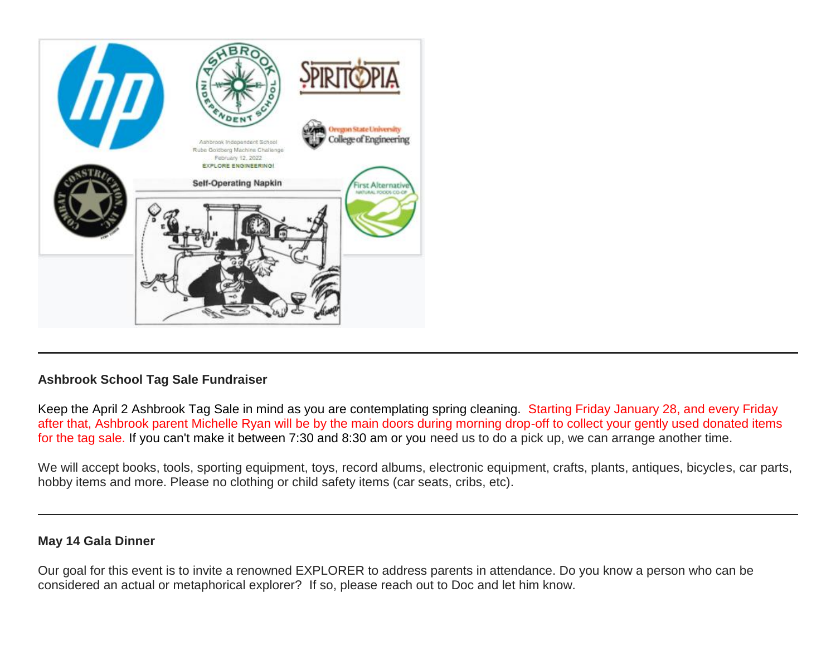

# **Ashbrook School Tag Sale Fundraiser**

Keep the April 2 Ashbrook Tag Sale in mind as you are contemplating spring cleaning. Starting Friday January 28, and every Friday after that, Ashbrook parent Michelle Ryan will be by the main doors during morning drop-off to collect your gently used donated items for the tag sale. If you can't make it between 7:30 and 8:30 am or you need us to do a pick up, we can arrange another time.

We will accept books, tools, sporting equipment, toys, record albums, electronic equipment, crafts, plants, antiques, bicycles, car parts, hobby items and more. Please no clothing or child safety items (car seats, cribs, etc).

#### **May 14 Gala Dinner**

Our goal for this event is to invite a renowned EXPLORER to address parents in attendance. Do you know a person who can be considered an actual or metaphorical explorer? If so, please reach out to Doc and let him know.